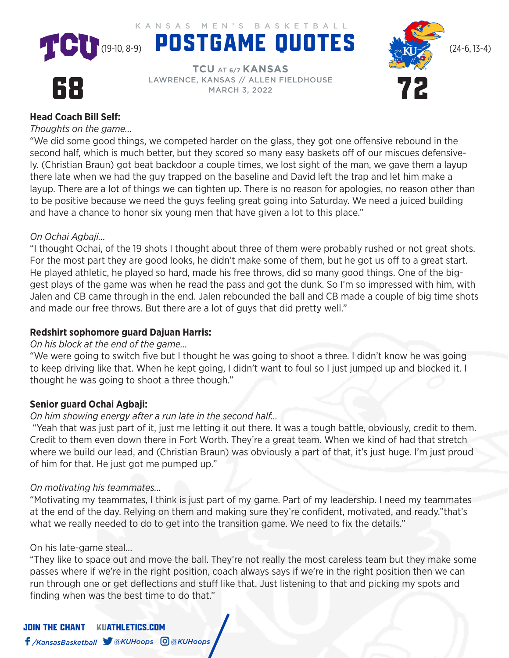KANSAS MEN'S BASKETBALL





# 68

**TCU** AT **6/7 KANSAS** LAWRENCE, KANSAS // ALLEN FIELDHOUSE MARCH 3, 2022

## **Head Coach Bill Self:**

*Thoughts on the game...* 

"We did some good things, we competed harder on the glass, they got one offensive rebound in the second half, which is much better, but they scored so many easy baskets off of our miscues defensively. (Christian Braun) got beat backdoor a couple times, we lost sight of the man, we gave them a layup there late when we had the guy trapped on the baseline and David left the trap and let him make a layup. There are a lot of things we can tighten up. There is no reason for apologies, no reason other than to be positive because we need the guys feeling great going into Saturday. We need a juiced building and have a chance to honor six young men that have given a lot to this place."

## *On Ochai Agbaji...*

"I thought Ochai, of the 19 shots I thought about three of them were probably rushed or not great shots. For the most part they are good looks, he didn't make some of them, but he got us off to a great start. He played athletic, he played so hard, made his free throws, did so many good things. One of the biggest plays of the game was when he read the pass and got the dunk. So I'm so impressed with him, with Jalen and CB came through in the end. Jalen rebounded the ball and CB made a couple of big time shots and made our free throws. But there are a lot of guys that did pretty well."

### **Redshirt sophomore guard Dajuan Harris:**

#### *On his block at the end of the game...*

"We were going to switch five but I thought he was going to shoot a three. I didn't know he was going to keep driving like that. When he kept going, I didn't want to foul so I just jumped up and blocked it. I thought he was going to shoot a three though."

#### **Senior guard Ochai Agbaji:**

#### *On him showing energy after a run late in the second half…*

 "Yeah that was just part of it, just me letting it out there. It was a tough battle, obviously, credit to them. Credit to them even down there in Fort Worth. They're a great team. When we kind of had that stretch where we build our lead, and (Christian Braun) was obviously a part of that, it's just huge. I'm just proud of him for that. He just got me pumped up."

#### *On motivating his teammates...*

"Motivating my teammates, I think is just part of my game. Part of my leadership. I need my teammates at the end of the day. Relying on them and making sure they're confident, motivated, and ready."that's what we really needed to do to get into the transition game. We need to fix the details."

#### On his late-game steal...

"They like to space out and move the ball. They're not really the most careless team but they make some passes where if we're in the right position, coach always says if we're in the right position then we can run through one or get deflections and stuff like that. Just listening to that and picking my spots and finding when was the best time to do that."